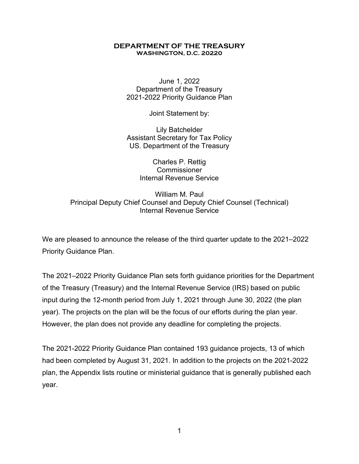#### **DEPARTMENT OF THE TREASURY WASHINGTON, D.C. 20220**

June 1, 2022 Department of the Treasury 2021-2022 Priority Guidance Plan

Joint Statement by:

Lily Batchelder Assistant Secretary for Tax Policy US. Department of the Treasury

> Charles P. Rettig **Commissioner** Internal Revenue Service

 Principal Deputy Chief Counsel and Deputy Chief Counsel (Technical) William M. Paul Internal Revenue Service

We are pleased to announce the release of the third quarter update to the 2021–2022 Priority Guidance Plan.

 year). The projects on the plan will be the focus of our efforts during the plan year. However, the plan does not provide any deadline for completing the projects. The 2021–2022 Priority Guidance Plan sets forth guidance priorities for the Department of the Treasury (Treasury) and the Internal Revenue Service (IRS) based on public input during the 12-month period from July 1, 2021 through June 30, 2022 (the plan

 plan, the Appendix lists routine or ministerial guidance that is generally published each The 2021-2022 Priority Guidance Plan contained 193 guidance projects, 13 of which had been completed by August 31, 2021. In addition to the projects on the 2021-2022 year.

1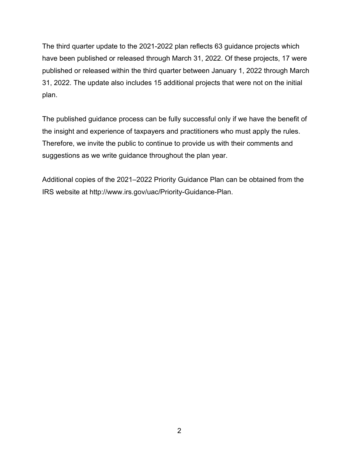have been published or released through March 31, 2022. Of these projects, 17 were plan. The third quarter update to the 2021-2022 plan reflects 63 guidance projects which published or released within the third quarter between January 1, 2022 through March 31, 2022. The update also includes 15 additional projects that were not on the initial

plan.<br>The published guidance process can be fully successful only if we have the benefit of the insight and experience of taxpayers and practitioners who must apply the rules. Therefore, we invite the public to continue to provide us with their comments and suggestions as we write guidance throughout the plan year.

Additional copies of the 2021–2022 Priority Guidance Plan can be obtained from the IRS website at <http://www.irs.gov/uac/Priority-Guidance-Plan>.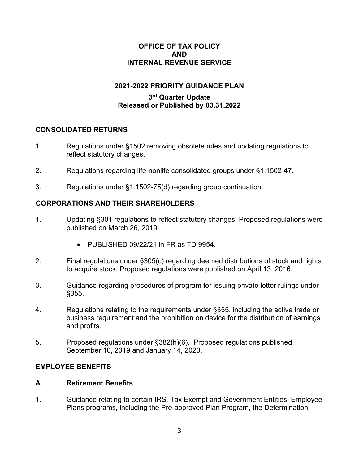#### **OFFICE OF TAX POLICY AND INTERNAL REVENUE SERVICE**

#### **2021-2022 PRIORITY GUIDANCE PLAN**

#### **3rd Quarter Update Released or Published by 03.31.2022**

# **CONSOLIDATED RETURNS**

- $1<sup>1</sup>$ Regulations under §1502 removing obsolete rules and updating regulations to reflect statutory changes.
- $2.$ 2. Regulations regarding life-nonlife consolidated groups under §1.1502-47.
- $3<sub>1</sub>$ Regulations under §1.1502-75(d) regarding group continuation.

# **CORPORATIONS AND THEIR SHAREHOLDERS**

- $1$ Updating §301 regulations to reflect statutory changes. Proposed regulations were published on March 26, 2019.
	- PUBLISHED 09/22/21 in FR as TD 9954.
- $2.$ Final regulations under §305(c) regarding deemed distributions of stock and rights to acquire stock. Proposed regulations were published on April 13, 2016.
- $3<sub>1</sub>$ 3. Guidance regarding procedures of program for issuing private letter rulings under §355.
- $4.$ Regulations relating to the requirements under §355, including the active trade or business requirement and the prohibition on device for the distribution of earnings and profits.
- $5<sup>5</sup>$  September 10, 2019 and January 14, 2020. 5. Proposed regulations under §382(h)(6). Proposed regulations published

#### **EMPLOYEE BENEFITS**

#### $\mathbf{A}$ . **A. Retirement Benefits**

 $1<sub>1</sub>$ 1. Guidance relating to certain IRS, Tax Exempt and Government Entities, Employee Plans programs, including the Pre-approved Plan Program, the Determination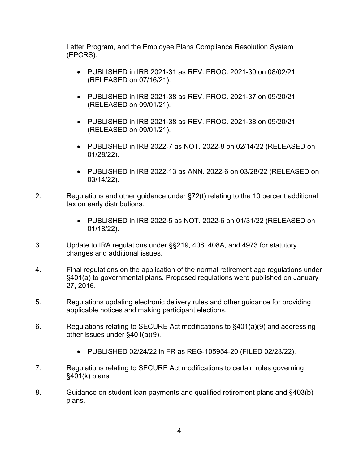Letter Program, and the Employee Plans Compliance Resolution System (EPCRS).

- PUBLISHED in IRB 2021-31 as REV. PROC. 2021-30 on 08/02/21 (RELEASED on 07/16/21).
- • PUBLISHED in IRB 2021-38 as REV. PROC. 2021-37 on 09/20/21 (RELEASED on 09/01/21).
- PUBLISHED in IRB 2021-38 as REV. PROC. 2021-38 on 09/20/21 (RELEASED on 09/01/21).
- PUBLISHED in IRB 2022-7 as NOT. 2022-8 on 02/14/22 (RELEASED on 01/28/22).
- PUBLISHED in IRB 2022-13 as ANN. 2022-6 on 03/28/22 (RELEASED on 03/14/22).
- $2.$ Regulations and other guidance under  $\S 72(t)$  relating to the 10 percent additional tax on early distributions.
	- PUBLISHED in IRB 2022-5 as NOT. 2022-6 on 01/31/22 (RELEASED on 01/18/22).
- $3.$ Update to IRA regulations under §§219, 408, 408A, and 4973 for statutory changes and additional issues.
- $4.$ 4. Final regulations on the application of the normal retirement age regulations under §401(a) to governmental plans. Proposed regulations were published on January 27, 2016.
- 5. applicable notices and making participant elections. Regulations updating electronic delivery rules and other guidance for providing
- 6. Regulations relating to SECURE Act modifications to  $§401(a)(9)$  and addressing other issues under §401(a)(9).
	- PUBLISHED 02/24/22 in FR as REG-105954-20 (FILED 02/23/22).
- $7.$ Regulations relating to SECURE Act modifications to certain rules governing §401(k) plans.
- 8. Guidance on student loan payments and qualified retirement plans and §403(b) plans.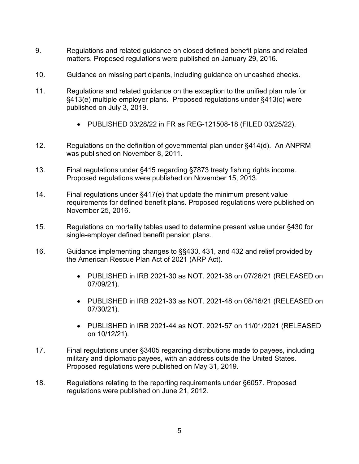- 9. 9. Regulations and related guidance on closed defined benefit plans and related matters. Proposed regulations were published on January 29, 2016.
- $10.$ Guidance on missing participants, including guidance on uncashed checks.
- $11$ Regulations and related guidance on the exception to the unified plan rule for §413(e) multiple employer plans. Proposed regulations under §413(c) were published on July 3, 2019.
	- PUBLISHED 03/28/22 in FR as REG-121508-18 (FILED 03/25/22).
- $12.$ Regulations on the definition of governmental plan under §414(d). An ANPRM was published on November 8, 2011.
- $13.$ Final regulations under §415 regarding §7873 treaty fishing rights income. Proposed regulations were published on November 15, 2013.
- $14<sup>1</sup>$ Final regulations under  $§417(e)$  that update the minimum present value requirements for defined benefit plans. Proposed regulations were published on November 25, 2016.
- $15<sub>1</sub>$ Regulations on mortality tables used to determine present value under §430 for single-employer defined benefit pension plans.
- $16.$  the American Rescue Plan Act of 2021 (ARP Act). Guidance implementing changes to §§430, 431, and 432 and relief provided by
	- PUBLISHED in IRB 2021-30 as NOT. 2021-38 on 07/26/21 (RELEASED on 07/09/21).
	- PUBLISHED in IRB 2021-33 as NOT. 2021-48 on 08/16/21 (RELEASED on 07/30/21).
	- • PUBLISHED in IRB 2021-44 as NOT. 2021-57 on 11/01/2021 (RELEASED on 10/12/21).
- $17.$ Final regulations under §3405 regarding distributions made to payees, including military and diplomatic payees, with an address outside the United States. Proposed regulations were published on May 31, 2019.
- $18.$ Regulations relating to the reporting requirements under §6057. Proposed regulations were published on June 21, 2012.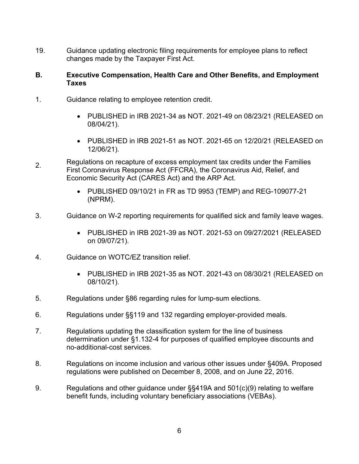19. changes made by the Taxpayer First Act. Guidance updating electronic filing requirements for employee plans to reflect

#### **B. B. Executive Compensation, Health Care and Other Benefits, and Employment Taxes**

- $1_{-}$ Guidance relating to employee retention credit.
	- PUBLISHED in IRB 2021-34 as NOT. 2021-49 on 08/23/21 (RELEASED on 08/04/21).
	- PUBLISHED in IRB 2021-51 as NOT. 2021-65 on 12/20/21 (RELEASED on 12/06/21).
- $2<sub>1</sub>$ Regulations on recapture of excess employment tax credits under the Families<br>First Coronavirus Response Act (FFCRA), the Coronavirus Aid, Relief, and Economic Security Act (CARES Act) and the ARP Act.
	- PUBLISHED 09/10/21 in FR as TD 9953 (TEMP) and REG-109077-21 (NPRM).
- $3<sub>1</sub>$ 3. Guidance on W-2 reporting requirements for qualified sick and family leave wages.
	- PUBLISHED in IRB 2021-39 as NOT. 2021-53 on 09/27/2021 (RELEASED on 09/07/21).
- 4. 4. Guidance on WOTC/EZ transition relief.
	- PUBLISHED in IRB 2021-35 as NOT. 2021-43 on 08/30/21 (RELEASED on 08/10/21).
- $5<sub>1</sub>$ Regulations under §86 regarding rules for lump-sum elections.
- 6. Regulations under §§119 and 132 regarding employer-provided meals.
- $7<sub>1</sub>$ Regulations updating the classification system for the line of business determination under §1.132-4 for purposes of qualified employee discounts and no-additional-cost services.
- 8. Regulations on income inclusion and various other issues under §409A. Proposed regulations were published on December 8, 2008, and on June 22, 2016.
- 9. Regulations and other guidance under  $\S$ §419A and 501(c)(9) relating to welfare benefit funds, including voluntary beneficiary associations (VEBAs).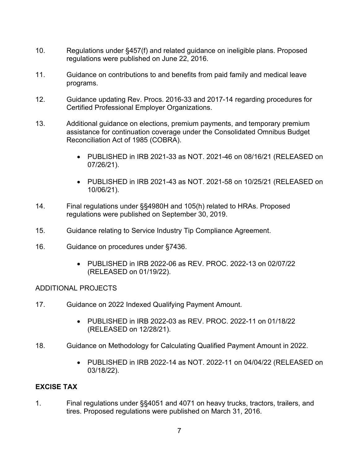- $10.$ Regulations under §457(f) and related guidance on ineligible plans. Proposed regulations were published on June 22, 2016.
- $11.$ Guidance on contributions to and benefits from paid family and medical leave programs.
- $12.$ Guidance updating Rev. Procs. 2016-33 and 2017-14 regarding procedures for Certified Professional Employer Organizations.
- $13<sub>1</sub>$ Additional guidance on elections, premium payments, and temporary premium assistance for continuation coverage under the Consolidated Omnibus Budget Reconciliation Act of 1985 (COBRA).
	- PUBLISHED in IRB 2021-33 as NOT. 2021-46 on 08/16/21 (RELEASED on 07/26/21).
	- • PUBLISHED in IRB 2021-43 as NOT. 2021-58 on 10/25/21 (RELEASED on 10/06/21).
- 14. Final regulations under §§4980H and 105(h) related to HRAs. Proposed regulations were published on September 30, 2019.
- $15<sub>1</sub>$ 15. Guidance relating to Service Industry Tip Compliance Agreement.
- $16<sup>1</sup>$ Guidance on procedures under §7436.
	- • PUBLISHED in IRB 2022-06 as REV. PROC. 2022-13 on 02/07/22 (RELEASED on 01/19/22).

- $17<sup>7</sup>$ Guidance on 2022 Indexed Qualifying Payment Amount.
	- • PUBLISHED in IRB 2022-03 as REV. PROC. 2022-11 on 01/18/22 (RELEASED on 12/28/21).
- $18.$ 18. Guidance on Methodology for Calculating Qualified Payment Amount in 2022.
	- PUBLISHED in IRB 2022-14 as NOT. 2022-11 on 04/04/22 (RELEASED on 03/18/22).

# **EXCISE TAX**

 $1<sub>1</sub>$ Final regulations under §§4051 and 4071 on heavy trucks, tractors, trailers, and tires. Proposed regulations were published on March 31, 2016.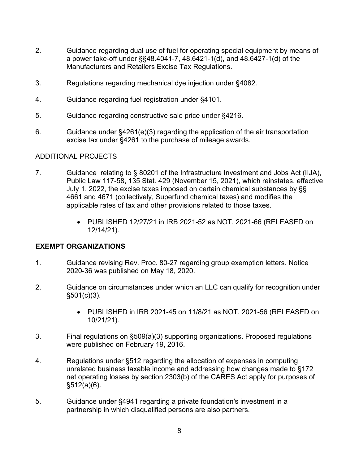- $2.$ 2. Guidance regarding dual use of fuel for operating special equipment by means of a power take-off under §§48.4041-7, 48.6421-1(d), and 48.6427-1(d) of the Manufacturers and Retailers Excise Tax Regulations.
- $3<sub>1</sub>$ Regulations regarding mechanical dye injection under §4082.
- $4.$ 4. Guidance regarding fuel registration under §4101.
- 5. 5. Guidance regarding constructive sale price under §4216.
- 6. excise tax under §4261 to the purchase of mileage awards. Guidance under §4261(e)(3) regarding the application of the air transportation

- $7<sup>1</sup>$ 7. Guidance relating to § 80201 of the Infrastructure Investment and Jobs Act (IIJA), Public Law 117-58, 135 Stat. 429 (November 15, 2021), which reinstates, effective July 1, 2022, the excise taxes imposed on certain chemical substances by §§ 4661 and 4671 (collectively, Superfund chemical taxes) and modifies the applicable rates of tax and other provisions related to those taxes.
	- PUBLISHED 12/27/21 in IRB 2021-52 as NOT. 2021-66 (RELEASED on 12/14/21).

# **EXEMPT ORGANIZATIONS**

- $1<sub>1</sub>$ Guidance revising Rev. Proc. 80-27 regarding group exemption letters. Notice 2020-36 was published on May 18, 2020.
- $2.$ 2. Guidance on circumstances under which an LLC can qualify for recognition under  $§501(c)(3)$ .
	- PUBLISHED in IRB 2021-45 on 11/8/21 as NOT. 2021-56 (RELEASED on 10/21/21).
- $3<sub>1</sub>$ Final regulations on §509(a)(3) supporting organizations. Proposed regulations were published on February 19, 2016.
- 4. Regulations under §512 regarding the allocation of expenses in computing unrelated business taxable income and addressing how changes made to §172 net operating losses by section 2303(b) of the CARES Act apply for purposes of §512(a)(6).
- 5. 5. Guidance under §4941 regarding a private foundation's investment in a partnership in which disqualified persons are also partners.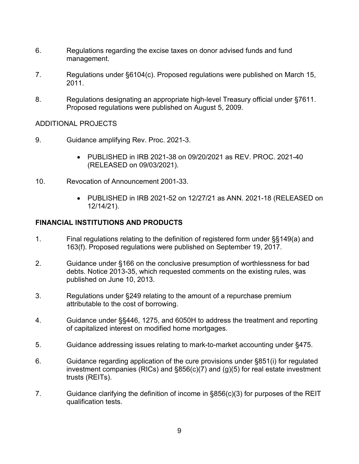- $6.$ 6. Regulations regarding the excise taxes on donor advised funds and fund management.
- $7.$ Regulations under §6104(c). Proposed regulations were published on March 15, 2011.
- 8. 8. Regulations designating an appropriate high-level Treasury official under §7611. Proposed regulations were published on August 5, 2009.

- 9 9. Guidance amplifying Rev. Proc. 2021-3.
	- PUBLISHED in IRB 2021-38 on 09/20/2021 as REV. PROC. 2021-40 (RELEASED on 09/03/2021).
- $10<sub>1</sub>$ Revocation of Announcement 2001-33.
	- PUBLISHED in IRB 2021-52 on 12/27/21 as ANN. 2021-18 (RELEASED on 12/14/21).

# **FINANCIAL INSTITUTIONS AND PRODUCTS**

- $\mathbf{1}$  163(f). Proposed regulations were published on September 19, 2017. Final regulations relating to the definition of registered form under §§149(a) and
- $2.$ Guidance under §166 on the conclusive presumption of worthlessness for bad debts. Notice 2013-35, which requested comments on the existing rules, was published on June 10, 2013.
- $3<sub>1</sub>$ Regulations under §249 relating to the amount of a repurchase premium attributable to the cost of borrowing.
- $4_{\cdot}$ 4. Guidance under §§446, 1275, and 6050H to address the treatment and reporting of capitalized interest on modified home mortgages.
- 5. 5. Guidance addressing issues relating to mark-to-market accounting under §475.
- $6.$ 6. Guidance regarding application of the cure provisions under §851(i) for regulated investment companies (RICs) and §856(c)(7) and (g)(5) for real estate investment trusts (REITs).
- $7<sub>1</sub>$ Guidance clarifying the definition of income in  $§856(c)(3)$  for purposes of the REIT qualification tests.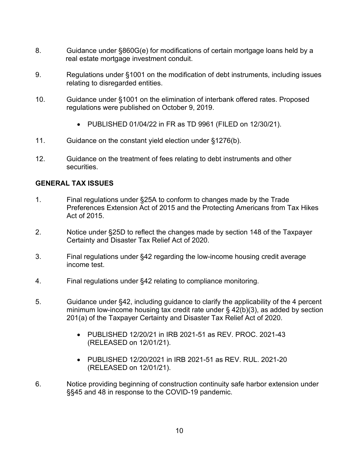- 8. Guidance under §860G(e) for modifications of certain mortgage loans held by a real estate mortgage investment conduit.
- 9. Regulations under §1001 on the modification of debt instruments, including issues relating to disregarded entities.
- $10<sub>1</sub>$  regulations were published on October 9, 2019. Guidance under §1001 on the elimination of interbank offered rates. Proposed
	- PUBLISHED 01/04/22 in FR as TD 9961 (FILED on 12/30/21).
- $11.$ Guidance on the constant yield election under §1276(b).
- $12<sub>1</sub>$ Guidance on the treatment of fees relating to debt instruments and other securities.

#### **GENERAL TAX ISSUES**

- $1<sub>1</sub>$ Final regulations under §25A to conform to changes made by the Trade Preferences Extension Act of 2015 and the Protecting Americans from Tax Hikes Act of 2015.
- $2<sub>1</sub>$ Notice under §25D to reflect the changes made by section 148 of the Taxpayer Certainty and Disaster Tax Relief Act of 2020.
- $3<sub>1</sub>$ Final regulations under §42 regarding the low-income housing credit average income test.
- $4.$ Final regulations under §42 relating to compliance monitoring.
- $5<sub>1</sub>$ 5. Guidance under §42, including guidance to clarify the applicability of the 4 percent minimum low-income housing tax credit rate under § 42(b)(3), as added by section 201(a) of the Taxpayer Certainty and Disaster Tax Relief Act of 2020.
	- PUBLISHED 12/20/21 in IRB 2021-51 as REV. PROC. 2021-43 (RELEASED on 12/01/21).
	- PUBLISHED 12/20/2021 in IRB 2021-51 as REV. RUL. 2021-20 (RELEASED on 12/01/21).
- $6<sup>1</sup>$ Notice providing beginning of construction continuity safe harbor extension under §§45 and 48 in response to the COVID-19 pandemic.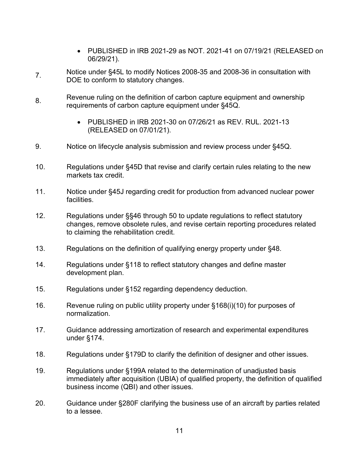- PUBLISHED in IRB 2021-29 as NOT. 2021-41 on 07/19/21 (RELEASED on 06/29/21).
- $7<sub>1</sub>$ Notice under §45L to modify Notices 2008-35 and 2008-36 in consultation with DOE to conform to statutory changes.
- 8. Revenue ruling on the definition of carbon capture equipment and ownership requirements of carbon capture equipment under §45Q.
	- PUBLISHED in IRB 2021-30 on 07/26/21 as REV. RUL. 2021-13 (RELEASED on 07/01/21).
- 9. Notice on lifecycle analysis submission and review process under §45Q.
- $10<sub>1</sub>$ Regulations under §45D that revise and clarify certain rules relating to the new markets tax credit.
- $11$ Notice under §45J regarding credit for production from advanced nuclear power facilities.
- $12.$ Regulations under §§46 through 50 to update regulations to reflect statutory changes, remove obsolete rules, and revise certain reporting procedures related to claiming the rehabilitation credit.
- $13.$ Regulations on the definition of qualifying energy property under §48.
- $14<sub>1</sub>$ Regulations under §118 to reflect statutory changes and define master development plan.
- $15<sub>1</sub>$ Regulations under §152 regarding dependency deduction.
- $16.$ Revenue ruling on public utility property under §168(i)(10) for purposes of normalization.
- $17<sub>1</sub>$ Guidance addressing amortization of research and experimental expenditures under §174.
- $18<sub>1</sub>$ Regulations under §179D to clarify the definition of designer and other issues.
- 19. Regulations under §199A related to the determination of unadjusted basis immediately after acquisition (UBIA) of qualified property, the definition of qualified business income (QBI) and other issues.
- $20.$ Guidance under §280F clarifying the business use of an aircraft by parties related to a lessee.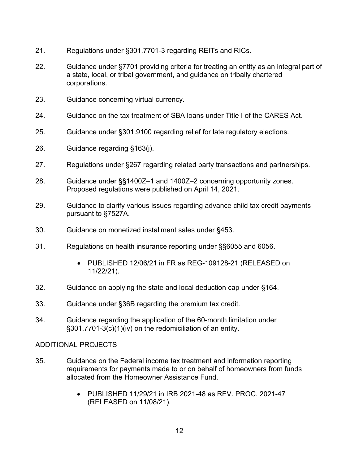- $21.$ Regulations under §301.7701-3 regarding REITs and RICs.
- $22.$ 22. Guidance under §7701 providing criteria for treating an entity as an integral part of a state, local, or tribal government, and guidance on tribally chartered corporations.
- $23.$ Guidance concerning virtual currency.
- 24. 24. Guidance on the tax treatment of SBA loans under Title I of the CARES Act.
- 25. Guidance under §301.9100 regarding relief for late regulatory elections.
- $26.$ Guidance regarding §163(j).
- 27 Regulations under §267 regarding related party transactions and partnerships.
- 28. Guidance under §§1400Z–1 and 1400Z–2 concerning opportunity zones. Proposed regulations were published on April 14, 2021.
- 29. Guidance to clarify various issues regarding advance child tax credit payments pursuant to §7527A.
- $30<sub>1</sub>$ Guidance on monetized installment sales under §453.
- $31<sub>1</sub>$ Regulations on health insurance reporting under §§6055 and 6056.
	- PUBLISHED 12/06/21 in FR as REG-109128-21 (RELEASED on 11/22/21).
- $32.$ Guidance on applying the state and local deduction cap under §164.
- 33. Guidance under §36B regarding the premium tax credit.
- $34<sub>1</sub>$  §301.7701-3(c)(1)(iv) on the redomiciliation of an entity. 34. Guidance regarding the application of the 60-month limitation under

- 35. requirements for payments made to or on behalf of homeowners from funds Guidance on the Federal income tax treatment and information reporting allocated from the Homeowner Assistance Fund.
	- PUBLISHED 11/29/21 in IRB 2021-48 as REV. PROC. 2021-47 (RELEASED on 11/08/21).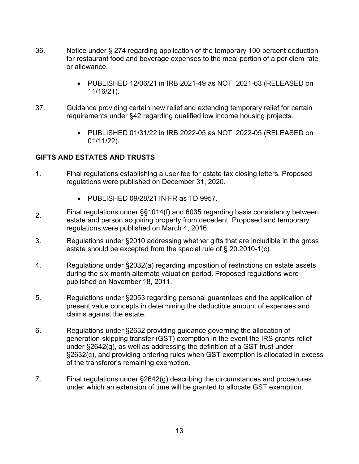- 36. Notice under § 274 regarding application of the temporary 100-percent deduction for restaurant food and beverage expenses to the meal portion of a per diem rate or allowance.
	- PUBLISHED 12/06/21 in IRB 2021-49 as NOT. 2021-63 (RELEASED on 11/16/21).
- $37.$ Guidance providing certain new relief and extending temporary relief for certain requirements under §42 regarding qualified low income housing projects.
	- PUBLISHED 01/31/22 in IRB 2022-05 as NOT. 2022-05 (RELEASED on 01/11/22).

# **GIFTS AND ESTATES AND TRUSTS**

- $1<sub>1</sub>$ Final regulations establishing a user fee for estate tax closing letters. Proposed regulations were published on December 31, 2020.
	- PUBLISHED 09/28/21 IN FR as TD 9957
- $2.$ Final regulations under §§1014(f) and 6035 regarding basis consistency between<br>estate and person acquiring property from decedent. Proposed and temporary regulations were published on March 4, 2016.
- $3<sub>1</sub>$ Regulations under §2010 addressing whether gifts that are includible in the gross estate should be excepted from the special rule of § 20.2010-1(c).
- 4. Regulations under §2032(a) regarding imposition of restrictions on estate assets during the six-month alternate valuation period. Proposed regulations were published on November 18, 2011.
- 5. present value concepts in determining the deductible amount of expenses and 5. Regulations under §2053 regarding personal guarantees and the application of claims against the estate.
- 6. Regulations under §2632 providing guidance governing the allocation of generation-skipping transfer (GST) exemption in the event the IRS grants relief under §2642(g), as well as addressing the definition of a GST trust under §2632(c), and providing ordering rules when GST exemption is allocated in excess of the transferor's remaining exemption.
- $7^{\circ}$ Final regulations under  $\S 2642(g)$  describing the circumstances and procedures under which an extension of time will be granted to allocate GST exemption.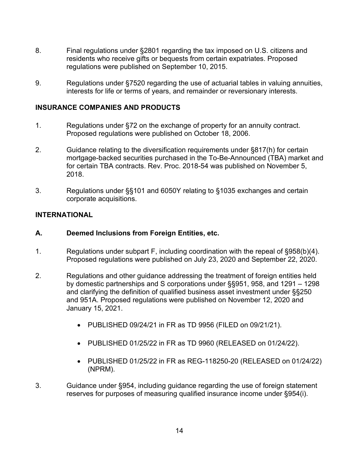- 8. residents who receive gifts or bequests from certain expatriates. Proposed 8. Final regulations under §2801 regarding the tax imposed on U.S. citizens and regulations were published on September 10, 2015.
- 9. Regulations under §7520 regarding the use of actuarial tables in valuing annuities, interests for life or terms of years, and remainder or reversionary interests.

# **INSURANCE COMPANIES AND PRODUCTS**

- $\mathbf{1}$ Regulations under §72 on the exchange of property for an annuity contract. Proposed regulations were published on October 18, 2006.
- $2<sub>1</sub>$ 2. Guidance relating to the diversification requirements under §817(h) for certain mortgage-backed securities purchased in the To-Be-Announced (TBA) market and for certain TBA contracts. Rev. Proc. 2018-54 was published on November 5, 2018.
- $3<sub>1</sub>$ Regulations under §§101 and 6050Y relating to §1035 exchanges and certain corporate acquisitions.

#### **INTERNATIONAL**

#### **A. Deemed Inclusions from Foreign Entities, etc.**

- $1.$ Regulations under subpart F, including coordination with the repeal of §958(b)(4). Proposed regulations were published on July 23, 2020 and September 22, 2020.
- $\mathcal{P}$ 2. Regulations and other guidance addressing the treatment of foreign entities held by domestic partnerships and S corporations under §§951, 958, and 1291 – 1298 and clarifying the definition of qualified business asset investment under §§250 and 951A. Proposed regulations were published on November 12, 2020 and January 15, 2021.
	- PUBLISHED 09/24/21 in FR as TD 9956 (FILED on 09/21/21).
	- PUBLISHED 01/25/22 in FR as TD 9960 (RELEASED on 01/24/22).
	- • PUBLISHED 01/25/22 in FR as REG-118250-20 (RELEASED on 01/24/22) (NPRM).
- $\mathcal{S}$ Guidance under §954, including guidance regarding the use of foreign statement reserves for purposes of measuring qualified insurance income under §954(i).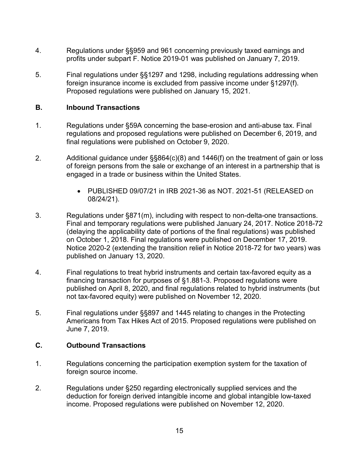- $4<sub>1</sub>$ Regulations under §§959 and 961 concerning previously taxed earnings and profits under subpart F. Notice 2019-01 was published on January 7, 2019.
- 5. Final regulations under §§1297 and 1298, including regulations addressing when foreign insurance income is excluded from passive income under §1297(f). Proposed regulations were published on January 15, 2021.

#### **B. Inbound Transactions**

- $\mathbf 1$  regulations and proposed regulations were published on December 6, 2019, and Regulations under §59A concerning the base-erosion and anti-abuse tax. Final final regulations were published on October 9, 2020.
- $2.$ Additional guidance under  $\S8864(c)(8)$  and  $1446(f)$  on the treatment of gain or loss of foreign persons from the sale or exchange of an interest in a partnership that is engaged in a trade or business within the United States.
	- PUBLISHED 09/07/21 in IRB 2021-36 as NOT. 2021-51 (RELEASED on 08/24/21).
- $3<sub>1</sub>$  on October 1, 2018. Final regulations were published on December 17, 2019. Regulations under  $\S871(m)$ , including with respect to non-delta-one transactions. Final and temporary regulations were published January 24, 2017. Notice 2018-72 (delaying the applicability date of portions of the final regulations) was published Notice 2020-2 (extending the transition relief in Notice 2018-72 for two years) was published on January 13, 2020.
- $\overline{4}$ 4. Final regulations to treat hybrid instruments and certain tax-favored equity as a financing transaction for purposes of §1.881-3. Proposed regulations were published on April 8, 2020, and final regulations related to hybrid instruments (but not tax-favored equity) were published on November 12, 2020.
- 5. 5. Final regulations under §§897 and 1445 relating to changes in the Protecting Americans from Tax Hikes Act of 2015. Proposed regulations were published on June 7, 2019.

# **C. Outbound Transactions**

- $1<sub>1</sub>$ Regulations concerning the participation exemption system for the taxation of foreign source income.
- $2.$ 2. Regulations under §250 regarding electronically supplied services and the deduction for foreign derived intangible income and global intangible low-taxed income. Proposed regulations were published on November 12, 2020.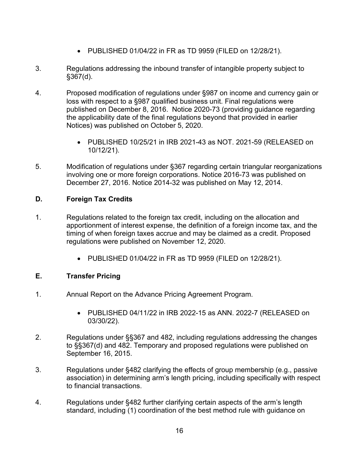- PUBLISHED 01/04/22 in FR as TD 9959 (FILED on 12/28/21).
- $3<sub>1</sub>$ Regulations addressing the inbound transfer of intangible property subject to §367(d).
- $\overline{4}$  loss with respect to a §987 qualified business unit. Final regulations were published on December 8, 2016. Notice 2020-73 (providing guidance regarding Notices) was published on October 5, 2020. 4. Proposed modification of regulations under §987 on income and currency gain or the applicability date of the final regulations beyond that provided in earlier
	- PUBLISHED 10/25/21 in IRB 2021-43 as NOT. 2021-59 (RELEASED on 10/12/21).
- 5. Modification of regulations under §367 regarding certain triangular reorganizations involving one or more foreign corporations. Notice 2016-73 was published on December 27, 2016. Notice 2014-32 was published on May 12, 2014.

# **D. Foreign Tax Credits**

- $1<sup>1</sup>$  timing of when foreign taxes accrue and may be claimed as a credit. Proposed regulations were published on November 12, 2020. Regulations related to the foreign tax credit, including on the allocation and apportionment of interest expense, the definition of a foreign income tax, and the
	- PUBLISHED 01/04/22 in FR as TD 9959 (FILED on 12/28/21).

# **E. Transfer Pricing**

- $1<sup>1</sup>$ Annual Report on the Advance Pricing Agreement Program.
	- PUBLISHED 04/11/22 in IRB 2022-15 as ANN. 2022-7 (RELEASED on 03/30/22).
- $\mathcal{P}$ Regulations under §§367 and 482, including regulations addressing the changes to §§367(d) and 482. Temporary and proposed regulations were published on September 16, 2015.
- $3<sub>l</sub>$ Regulations under §482 clarifying the effects of group membership (e.g., passive association) in determining arm's length pricing, including specifically with respect to financial transactions.
- $4.$ Regulations under §482 further clarifying certain aspects of the arm's length standard, including (1) coordination of the best method rule with guidance on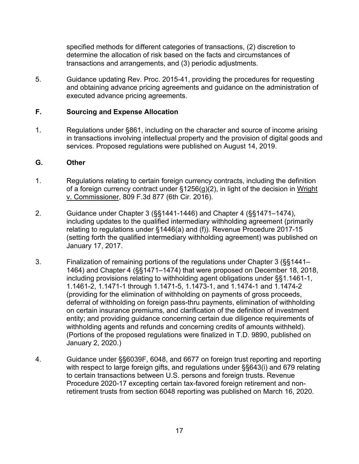specified methods for different categories of transactions, (2) discretion to determine the allocation of risk based on the facts and circumstances of transactions and arrangements, and (3) periodic adjustments.

5. 5. Guidance updating Rev. Proc. 2015-41, providing the procedures for requesting and obtaining advance pricing agreements and guidance on the administration of executed advance pricing agreements.

# **F. Sourcing and Expense Allocation**

 $1<sub>1</sub>$  in transactions involving intellectual property and the provision of digital goods and Regulations under §861, including on the character and source of income arising services. Proposed regulations were published on August 14, 2019.

# **G. Other**

- $1<sub>1</sub>$ of a foreign currency contract under §1256(g)(2), in light of the decision in <u>Wright</u> Regulations relating to certain foreign currency contracts, including the definition v. Commissioner, 809 F.3d 877 (6th Cir. 2016).
- $2.$ 2. Guidance under Chapter 3 (§§1441-1446) and Chapter 4 (§§1471–1474), including updates to the qualified intermediary withholding agreement (primarily relating to regulations under §1446(a) and (f)). Revenue Procedure 2017-15 (setting forth the qualified intermediary withholding agreement) was published on January 17, 2017.
- $3<sub>l</sub>$ Finalization of remaining portions of the regulations under Chapter 3 (§§1441– 1464) and Chapter 4 (§§1471–1474) that were proposed on December 18, 2018, including provisions relating to withholding agent obligations under §§1.1461-1, 1.1461-2, 1.1471-1 through 1.1471-5, 1.1473-1, and 1.1474-1 and 1.1474-2 (providing for the elimination of withholding on payments of gross proceeds, deferral of withholding on foreign pass-thru payments, elimination of withholding on certain insurance premiums, and clarification of the definition of investment entity; and providing guidance concerning certain due diligence requirements of withholding agents and refunds and concerning credits of amounts withheld). (Portions of the proposed regulations were finalized in T.D. 9890, published on January 2, 2020.)
- $\mathbf{4}$ 4. Guidance under §§6039F, 6048, and 6677 on foreign trust reporting and reporting with respect to large foreign gifts, and regulations under §§643(i) and 679 relating to certain transactions between U.S. persons and foreign trusts. Revenue Procedure 2020-17 excepting certain tax-favored foreign retirement and nonretirement trusts from section 6048 reporting was published on March 16, 2020.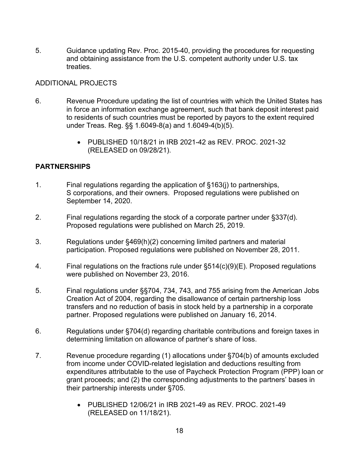5. 5. Guidance updating Rev. Proc. 2015-40, providing the procedures for requesting and obtaining assistance from the U.S. competent authority under U.S. tax treaties.

#### ADDITIONAL PROJECTS

- 6. in force an information exchange agreement, such that bank deposit interest paid under Treas. Reg. §§ 1.6049-8(a) and 1.6049-4(b)(5). Revenue Procedure updating the list of countries with which the United States has to residents of such countries must be reported by payors to the extent required
	- PUBLISHED 10/18/21 in IRB 2021-42 as REV. PROC. 2021-32 (RELEASED on 09/28/21).

#### **PARTNERSHIPS**

- $1<sup>1</sup>$  S corporations, and their owners. Proposed regulations were published on September 14, 2020. Final regulations regarding the application of  $§163(i)$  to partnerships,
- $2.$ Final regulations regarding the stock of a corporate partner under  $\S 337(d)$ . Proposed regulations were published on March 25, 2019.
- $3.$ Regulations under §469(h)(2) concerning limited partners and material participation. Proposed regulations were published on November 28, 2011.
- $4.$ Final regulations on the fractions rule under  $\S514(c)(9)(E)$ . Proposed regulations were published on November 23, 2016.
- 5. partner. Proposed regulations were published on January 16, 2014. 5. Final regulations under §§704, 734, 743, and 755 arising from the American Jobs Creation Act of 2004, regarding the disallowance of certain partnership loss transfers and no reduction of basis in stock held by a partnership in a corporate
- $6.$ Regulations under §704(d) regarding charitable contributions and foreign taxes in determining limitation on allowance of partner's share of loss.
- $7<sup>1</sup>$  grant proceeds; and (2) the corresponding adjustments to the partners' bases in Revenue procedure regarding (1) allocations under §704(b) of amounts excluded from income under COVID-related legislation and deductions resulting from expenditures attributable to the use of Paycheck Protection Program (PPP) loan or their partnership interests under §705.
	- PUBLISHED 12/06/21 in IRB 2021-49 as REV. PROC. 2021-49 (RELEASED on 11/18/21).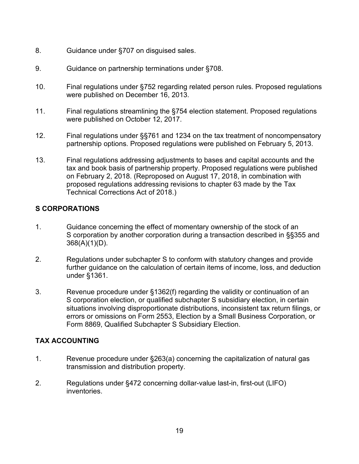- $8<sub>1</sub>$ Guidance under §707 on disquised sales.
- 9. Guidance on partnership terminations under §708.
- $10<sub>1</sub>$ Final regulations under §752 regarding related person rules. Proposed regulations were published on December 16, 2013.
- $11.$ Final regulations streamlining the §754 election statement. Proposed regulations were published on October 12, 2017.
- $12.$ Final regulations under §§761 and 1234 on the tax treatment of noncompensatory partnership options. Proposed regulations were published on February 5, 2013.
- $13.$  tax and book basis of partnership property. Proposed regulations were published Final regulations addressing adjustments to bases and capital accounts and the on February 2, 2018. (Reproposed on August 17, 2018, in combination with proposed regulations addressing revisions to chapter 63 made by the Tax Technical Corrections Act of 2018.)

# **S CORPORATIONS**

- $1<sub>1</sub>$  S corporation by another corporation during a transaction described in §§355 and Guidance concerning the effect of momentary ownership of the stock of an 368(A)(1)(D).
- $2.$  further guidance on the calculation of certain items of income, loss, and deduction Regulations under subchapter S to conform with statutory changes and provide under §1361.
- $3<sub>1</sub>$ Revenue procedure under §1362(f) regarding the validity or continuation of an S corporation election, or qualified subchapter S subsidiary election, in certain situations involving disproportionate distributions, inconsistent tax return filings, or errors or omissions on Form 2553, Election by a Small Business Corporation, or Form 8869, Qualified Subchapter S Subsidiary Election.

# **TAX ACCOUNTING**

- $1<sup>1</sup>$ Revenue procedure under §263(a) concerning the capitalization of natural gas transmission and distribution property.
- $2.$ Regulations under §472 concerning dollar-value last-in, first-out (LIFO) inventories.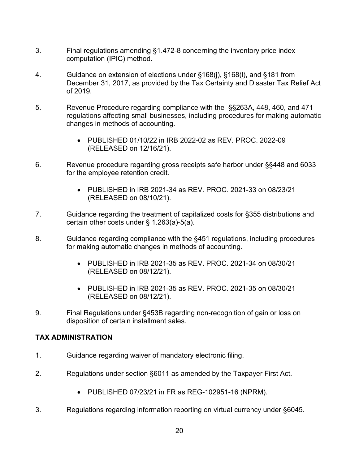- $3<sub>1</sub>$ Final regulations amending §1.472-8 concerning the inventory price index computation (IPIC) method.
- $4.$  December 31, 2017, as provided by the Tax Certainty and Disaster Tax Relief Act 4. Guidance on extension of elections under §168(j), §168(l), and §181 from of 2019.
- 5. 5. Revenue Procedure regarding compliance with the §§263A, 448, 460, and 471 regulations affecting small businesses, including procedures for making automatic changes in methods of accounting.
	- PUBLISHED 01/10/22 in IRB 2022-02 as REV. PROC. 2022-09 (RELEASED on 12/16/21).
- 6. Revenue procedure regarding gross receipts safe harbor under §§448 and 6033 for the employee retention credit.
	- PUBLISHED in IRB 2021-34 as REV. PROC. 2021-33 on 08/23/21 (RELEASED on 08/10/21).
- $7.$ 7. Guidance regarding the treatment of capitalized costs for §355 distributions and certain other costs under § 1.263(a)-5(a).
- 8. for making automatic changes in methods of accounting. Guidance regarding compliance with the §451 regulations, including procedures
	- PUBLISHED in IRB 2021-35 as REV. PROC. 2021-34 on 08/30/21 (RELEASED on 08/12/21).
	- • PUBLISHED in IRB 2021-35 as REV. PROC. 2021-35 on 08/30/21 (RELEASED on 08/12/21).
- 9 9. Final Regulations under §453B regarding non-recognition of gain or loss on disposition of certain installment sales.

# **TAX ADMINISTRATION**

- $1<sub>1</sub>$ Guidance regarding waiver of mandatory electronic filing.
- $2.$ Regulations under section §6011 as amended by the Taxpayer First Act.
	- PUBLISHED 07/23/21 in FR as REG-102951-16 (NPRM).
- $3<sub>1</sub>$ 3. Regulations regarding information reporting on virtual currency under §6045.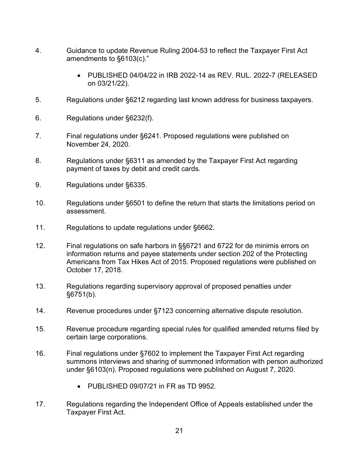- $4.$ 4. Guidance to update Revenue Ruling 2004-53 to reflect the Taxpayer First Act amendments to §6103(c)."
	- PUBLISHED 04/04/22 in IRB 2022-14 as REV. RUL. 2022-7 (RELEASED on 03/21/22).
- 5. Regulations under §6212 regarding last known address for business taxpayers.
- 6. Regulations under §6232(f).
- $7<sup>1</sup>$ Final regulations under §6241. Proposed regulations were published on November 24, 2020.
- 8. payment of taxes by debit and credit cards. 8. Regulations under §6311 as amended by the Taxpayer First Act regarding
- $9<sub>1</sub>$ Regulations under §6335.
- $10.$ Regulations under §6501 to define the return that starts the limitations period on assessment.
- $11.$ Regulations to update regulations under §6662.
- $12<sub>1</sub>$  information returns and payee statements under section 202 of the Protecting Final regulations on safe harbors in §§6721 and 6722 for de minimis errors on Americans from Tax Hikes Act of 2015. Proposed regulations were published on October 17, 2018.
- $13<sup>7</sup>$ Regulations regarding supervisory approval of proposed penalties under §6751(b).
- $14<sub>1</sub>$ Revenue procedures under §7123 concerning alternative dispute resolution.
- $15.$ Revenue procedure regarding special rules for qualified amended returns filed by certain large corporations.
- $16.$ Final regulations under §7602 to implement the Taxpayer First Act regarding summons interviews and sharing of summoned information with person authorized under §6103(n). Proposed regulations were published on August 7, 2020.
	- PUBLISHED 09/07/21 in FR as TD 9952.
- $17<sub>1</sub>$ 17. Regulations regarding the Independent Office of Appeals established under the Taxpayer First Act.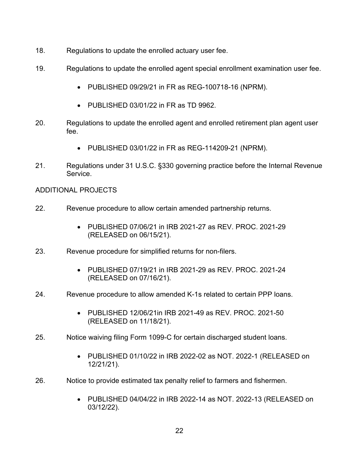- $18.$ Regulations to update the enrolled actuary user fee.
- 19. Regulations to update the enrolled agent special enrollment examination user fee.
	- PUBLISHED 09/29/21 in FR as REG-100718-16 (NPRM).
	- PUBLISHED 03/01/22 in FR as TD 9962.
- 20. Regulations to update the enrolled agent and enrolled retirement plan agent user fee.
	- PUBLISHED 03/01/22 in FR as REG-114209-21 (NPRM).
- $21.$ 21. Regulations under 31 U.S.C. §330 governing practice before the Internal Revenue Service.

- $22.$ Revenue procedure to allow certain amended partnership returns.
	- PUBLISHED 07/06/21 in IRB 2021-27 as REV. PROC. 2021-29 (RELEASED on 06/15/21).
- 23. Revenue procedure for simplified returns for non-filers.
	- PUBLISHED 07/19/21 in IRB 2021-29 as REV. PROC. 2021-24 (RELEASED on 07/16/21).
- 24. Revenue procedure to allow amended K-1s related to certain PPP loans.
	- PUBLISHED 12/06/21in IRB 2021-49 as REV. PROC. 2021-50 (RELEASED on 11/18/21).
- $25.$ Notice waiving filing Form 1099-C for certain discharged student loans.
	- • PUBLISHED 01/10/22 in IRB 2022-02 as NOT. 2022-1 (RELEASED on 12/21/21).
- 26. Notice to provide estimated tax penalty relief to farmers and fishermen.
	- PUBLISHED 04/04/22 in IRB 2022-14 as NOT. 2022-13 (RELEASED on 03/12/22).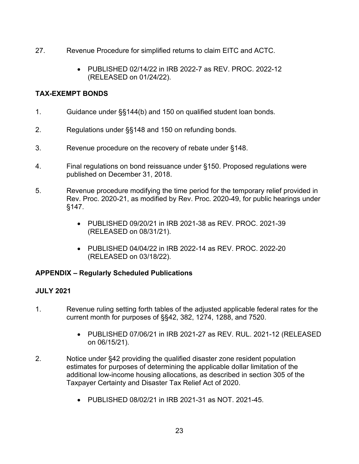- 27. 27. Revenue Procedure for simplified returns to claim EITC and ACTC.
	- PUBLISHED 02/14/22 in IRB 2022-7 as REV. PROC. 2022-12 (RELEASED on 01/24/22).

#### **TAX-EXEMPT BONDS**

- $1<sup>1</sup>$ Guidance under §§144(b) and 150 on qualified student loan bonds.
- $2<sup>1</sup>$ Regulations under §§148 and 150 on refunding bonds.
- $3<sub>1</sub>$ Revenue procedure on the recovery of rebate under §148.
- $4.$ Final regulations on bond reissuance under §150. Proposed regulations were published on December 31, 2018.
- 5. Rev. Proc. 2020-21, as modified by Rev. Proc. 2020-49, for public hearings under 5. Revenue procedure modifying the time period for the temporary relief provided in §147.
	- PUBLISHED 09/20/21 in IRB 2021-38 as REV. PROC. 2021-39 (RELEASED on 08/31/21).
	- PUBLISHED 04/04/22 in IRB 2022-14 as REV. PROC. 2022-20 (RELEASED on 03/18/22).

# **APPENDIX – Regularly Scheduled Publications**

# **JULY 2021**

- $1<sub>1</sub>$ Revenue ruling setting forth tables of the adjusted applicable federal rates for the current month for purposes of §§42, 382, 1274, 1288, and 7520.
	- PUBLISHED 07/06/21 in IRB 2021-27 as REV. RUL. 2021-12 (RELEASED on 06/15/21).
- $2.$ Notice under §42 providing the qualified disaster zone resident population estimates for purposes of determining the applicable dollar limitation of the additional low-income housing allocations, as described in section 305 of the Taxpayer Certainty and Disaster Tax Relief Act of 2020.
	- PUBLISHED 08/02/21 in IRB 2021-31 as NOT. 2021-45.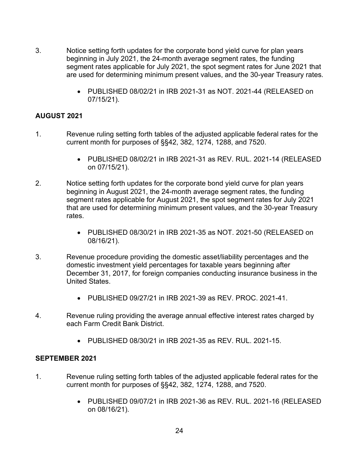- $3<sub>1</sub>$ Notice setting forth updates for the corporate bond yield curve for plan years beginning in July 2021, the 24-month average segment rates, the funding segment rates applicable for July 2021, the spot segment rates for June 2021 that are used for determining minimum present values, and the 30-year Treasury rates.
	- PUBLISHED 08/02/21 in IRB 2021-31 as NOT. 2021-44 (RELEASED on 07/15/21).

#### **AUGUST 2021**

- $1_{-}$ Revenue ruling setting forth tables of the adjusted applicable federal rates for the current month for purposes of §§42, 382, 1274, 1288, and 7520.
	- PUBLISHED 08/02/21 in IRB 2021-31 as REV. RUL. 2021-14 (RELEASED on 07/15/21).
- $2.$ Notice setting forth updates for the corporate bond yield curve for plan years beginning in August 2021, the 24-month average segment rates, the funding segment rates applicable for August 2021, the spot segment rates for July 2021 that are used for determining minimum present values, and the 30-year Treasury rates.
	- • PUBLISHED 08/30/21 in IRB 2021-35 as NOT. 2021-50 (RELEASED on 08/16/21).
- $3<sub>1</sub>$ 3. Revenue procedure providing the domestic asset/liability percentages and the domestic investment yield percentages for taxable years beginning after December 31, 2017, for foreign companies conducting insurance business in the United States.
	- PUBLISHED 09/27/21 in IRB 2021-39 as REV. PROC. 2021-41.
- $\overline{4}$ Revenue ruling providing the average annual effective interest rates charged by each Farm Credit Bank District.
	- PUBLISHED 08/30/21 in IRB 2021-35 as REV. RUL. 2021-15.

#### **SEPTEMBER 2021**

- $1.$ Revenue ruling setting forth tables of the adjusted applicable federal rates for the current month for purposes of §§42, 382, 1274, 1288, and 7520.
	- PUBLISHED 09/07/21 in IRB 2021-36 as REV. RUL. 2021-16 (RELEASED on 08/16/21).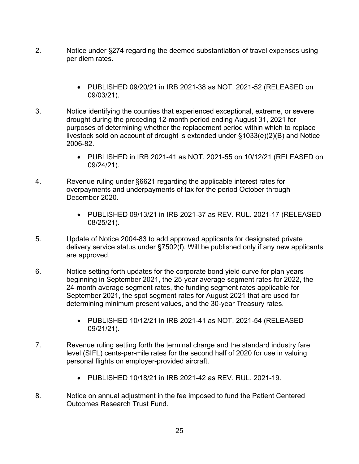- $2.$ Notice under §274 regarding the deemed substantiation of travel expenses using per diem rates.
	- PUBLISHED 09/20/21 in IRB 2021-38 as NOT. 2021-52 (RELEASED on 09/03/21).
- $3<sub>l</sub>$ Notice identifying the counties that experienced exceptional, extreme, or severe drought during the preceding 12-month period ending August 31, 2021 for purposes of determining whether the replacement period within which to replace livestock sold on account of drought is extended under §1033(e)(2)(B) and Notice 2006-82.
	- PUBLISHED in IRB 2021-41 as NOT. 2021-55 on 10/12/21 (RELEASED on 09/24/21).
- $4.$ Revenue ruling under §6621 regarding the applicable interest rates for overpayments and underpayments of tax for the period October through December 2020.
	- • PUBLISHED 09/13/21 in IRB 2021-37 as REV. RUL. 2021-17 (RELEASED 08/25/21).
- 5. delivery service status under §7502(f). Will be published only if any new applicants Update of Notice 2004-83 to add approved applicants for designated private are approved.
- 6. Notice setting forth updates for the corporate bond yield curve for plan years beginning in September 2021, the 25-year average segment rates for 2022, the 24-month average segment rates, the funding segment rates applicable for September 2021, the spot segment rates for August 2021 that are used for determining minimum present values, and the 30-year Treasury rates.
	- PUBLISHED 10/12/21 in IRB 2021-41 as NOT. 2021-54 (RELEASED 09/21/21).
- $7<sub>1</sub>$ Revenue ruling setting forth the terminal charge and the standard industry fare level (SIFL) cents-per-mile rates for the second half of 2020 for use in valuing personal flights on employer-provided aircraft.
	- PUBLISHED 10/18/21 in IRB 2021-42 as REV. RUL. 2021-19.
- 8. Notice on annual adjustment in the fee imposed to fund the Patient Centered Outcomes Research Trust Fund.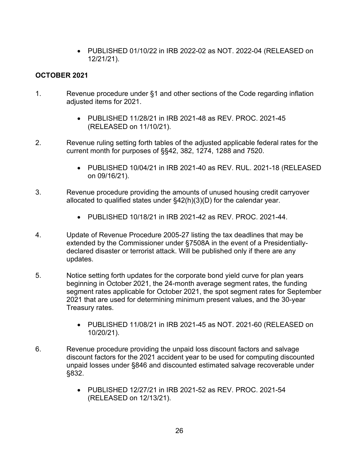• PUBLISHED 01/10/22 in IRB 2022-02 as NOT. 2022-04 (RELEASED on 12/21/21).

# **OCTOBER 2021**

- $1$ Revenue procedure under §1 and other sections of the Code regarding inflation adjusted items for 2021.
	- PUBLISHED 11/28/21 in IRB 2021-48 as REV. PROC. 2021-45 (RELEASED on 11/10/21).
- $2.$ Revenue ruling setting forth tables of the adjusted applicable federal rates for the current month for purposes of §§42, 382, 1274, 1288 and 7520.
	- on 09/16/21). • PUBLISHED 10/04/21 in IRB 2021-40 as REV. RUL. 2021-18 (RELEASED
- $3<sub>1</sub>$ Revenue procedure providing the amounts of unused housing credit carryover allocated to qualified states under §42(h)(3)(D) for the calendar year.
	- PUBLISHED 10/18/21 in IRB 2021-42 as REV. PROC. 2021-44.
- $4.$ Update of Revenue Procedure 2005-27 listing the tax deadlines that may be extended by the Commissioner under §7508A in the event of a Presidentiallydeclared disaster or terrorist attack. Will be published only if there are any updates.
- $5<sup>5</sup>$ Notice setting forth updates for the corporate bond yield curve for plan years beginning in October 2021, the 24-month average segment rates, the funding segment rates applicable for October 2021, the spot segment rates for September 2021 that are used for determining minimum present values, and the 30-year Treasury rates.
	- PUBLISHED 11/08/21 in IRB 2021-45 as NOT. 2021-60 (RELEASED on 10/20/21).
- 6. Revenue procedure providing the unpaid loss discount factors and salvage discount factors for the 2021 accident year to be used for computing discounted unpaid losses under §846 and discounted estimated salvage recoverable under §832.
	- (RELEASED on 12/13/21). • PUBLISHED 12/27/21 in IRB 2021-52 as REV. PROC. 2021-54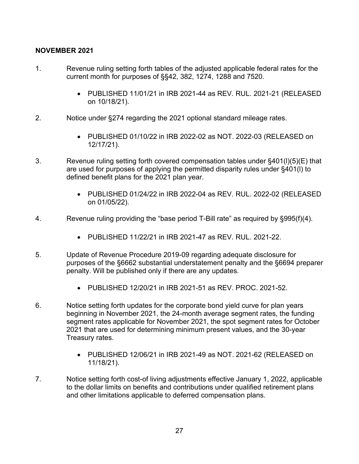#### **NOVEMBER 2021**

- $1<sup>1</sup>$ Revenue ruling setting forth tables of the adjusted applicable federal rates for the current month for purposes of §§42, 382, 1274, 1288 and 7520.
	- on 10/18/21). • PUBLISHED 11/01/21 in IRB 2021-44 as REV. RUL. 2021-21 (RELEASED
- $2<sub>1</sub>$ 2. Notice under §274 regarding the 2021 optional standard mileage rates.
	- PUBLISHED 01/10/22 in IRB 2022-02 as NOT. 2022-03 (RELEASED on 12/17/21).
- $3<sub>l</sub>$ Revenue ruling setting forth covered compensation tables under  $§401(1)(5)(E)$  that are used for purposes of applying the permitted disparity rules under §401(l) to defined benefit plans for the 2021 plan year.
	- PUBLISHED 01/24/22 in IRB 2022-04 as REV. RUL. 2022-02 (RELEASED on 01/05/22).
- $4_{\cdot}$ Revenue ruling providing the "base period T-Bill rate" as required by §995(f)(4).
	- PUBLISHED 11/22/21 in IRB 2021-47 as REV. RUL. 2021-22.
- 5. 5. Update of Revenue Procedure 2019-09 regarding adequate disclosure for purposes of the §6662 substantial understatement penalty and the §6694 preparer penalty. Will be published only if there are any updates.
	- PUBLISHED 12/20/21 in IRB 2021-51 as REV. PROC. 2021-52.
- 6. Notice setting forth updates for the corporate bond yield curve for plan years beginning in November 2021, the 24-month average segment rates, the funding segment rates applicable for November 2021, the spot segment rates for October 2021 that are used for determining minimum present values, and the 30-year Treasury rates.
	- PUBLISHED 12/06/21 in IRB 2021-49 as NOT. 2021-62 (RELEASED on 11/18/21).
- $7<sub>1</sub>$  and other limitations applicable to deferred compensation plans. Notice setting forth cost-of living adjustments effective January 1, 2022, applicable to the dollar limits on benefits and contributions under qualified retirement plans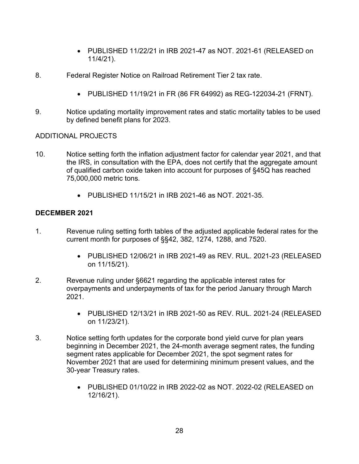- PUBLISHED 11/22/21 in IRB 2021-47 as NOT. 2021-61 (RELEASED on 11/4/21).
- $8<sub>1</sub>$ Federal Register Notice on Railroad Retirement Tier 2 tax rate.
	- PUBLISHED 11/19/21 in FR (86 FR 64992) as REG-122034-21 (FRNT).
- 9. 9. Notice updating mortality improvement rates and static mortality tables to be used by defined benefit plans for 2023.

- $10.$ Notice setting forth the inflation adjustment factor for calendar year 2021, and that the IRS, in consultation with the EPA, does not certify that the aggregate amount of qualified carbon oxide taken into account for purposes of §45Q has reached 75,000,000 metric tons.
	- PUBLISHED 11/15/21 in IRB 2021-46 as NOT. 2021-35.

#### **DECEMBER 2021**

- $1_{-}$ Revenue ruling setting forth tables of the adjusted applicable federal rates for the current month for purposes of §§42, 382, 1274, 1288, and 7520.
	- on 11/15/21). • PUBLISHED 12/06/21 in IRB 2021-49 as REV. RUL. 2021-23 (RELEASED
- $2.$ Revenue ruling under §6621 regarding the applicable interest rates for overpayments and underpayments of tax for the period January through March 2021.
	- PUBLISHED 12/13/21 in IRB 2021-50 as REV. RUL. 2021-24 (RELEASED on 11/23/21).
- $3.$ Notice setting forth updates for the corporate bond yield curve for plan years beginning in December 2021, the 24-month average segment rates, the funding segment rates applicable for December 2021, the spot segment rates for November 2021 that are used for determining minimum present values, and the 30-year Treasury rates.
	- PUBLISHED 01/10/22 in IRB 2022-02 as NOT. 2022-02 (RELEASED on 12/16/21).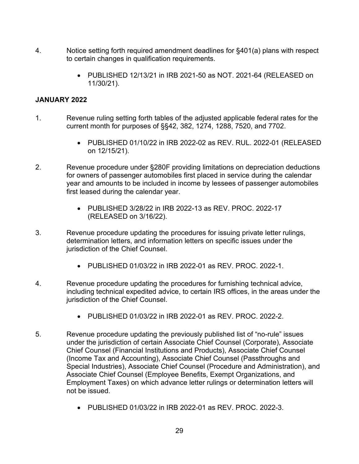- $\overline{4}$ Notice setting forth required amendment deadlines for §401(a) plans with respect to certain changes in qualification requirements.
	- PUBLISHED 12/13/21 in IRB 2021-50 as NOT. 2021-64 (RELEASED on 11/30/21).

#### **JANUARY 2022**

- $1<sup>1</sup>$ Revenue ruling setting forth tables of the adjusted applicable federal rates for the current month for purposes of §§42, 382, 1274, 1288, 7520, and 7702.
	- on 12/15/21). • PUBLISHED 01/10/22 in IRB 2022-02 as REV. RUL. 2022-01 (RELEASED
- $2<sub>1</sub>$  for owners of passenger automobiles first placed in service during the calendar year and amounts to be included in income by lessees of passenger automobiles Revenue procedure under §280F providing limitations on depreciation deductions first leased during the calendar year.
	- PUBLISHED 3/28/22 in IRB 2022-13 as REV. PROC. 2022-17 (RELEASED on 3/16/22).
- $3<sub>1</sub>$ Revenue procedure updating the procedures for issuing private letter rulings, determination letters, and information letters on specific issues under the jurisdiction of the Chief Counsel.
	- PUBLISHED 01/03/22 in IRB 2022-01 as REV. PROC. 2022-1.
- $4.$  including technical expedited advice, to certain IRS offices, in the areas under the Revenue procedure updating the procedures for furnishing technical advice, jurisdiction of the Chief Counsel.
	- PUBLISHED 01/03/22 in IRB 2022-01 as REV. PROC. 2022-2.
- $5<sub>1</sub>$  Chief Counsel (Financial Institutions and Products), Associate Chief Counsel Special Industries), Associate Chief Counsel (Procedure and Administration), and 5. Revenue procedure updating the previously published list of "no-rule" issues under the jurisdiction of certain Associate Chief Counsel (Corporate), Associate (Income Tax and Accounting), Associate Chief Counsel (Passthroughs and Associate Chief Counsel (Employee Benefits, Exempt Organizations, and Employment Taxes) on which advance letter rulings or determination letters will not be issued.
	- PUBLISHED 01/03/22 in IRB 2022-01 as REV. PROC. 2022-3.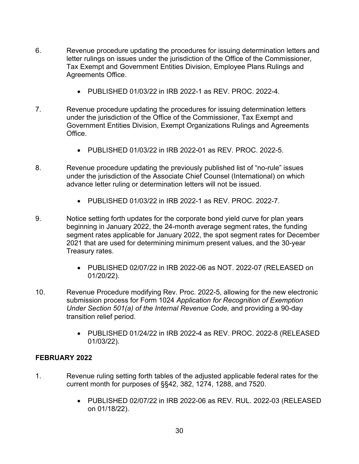- $6.$  letter rulings on issues under the jurisdiction of the Office of the Commissioner, Revenue procedure updating the procedures for issuing determination letters and Tax Exempt and Government Entities Division, Employee Plans Rulings and Agreements Office.
	- PUBLISHED 01/03/22 in IRB 2022-1 as REV. PROC. 2022-4.
- $7<sub>1</sub>$ 7. Revenue procedure updating the procedures for issuing determination letters under the jurisdiction of the Office of the Commissioner, Tax Exempt and Government Entities Division, Exempt Organizations Rulings and Agreements **Office** 
	- PUBLISHED 01/03/22 in IRB 2022-01 as REV. PROC. 2022-5.
- 8. 8. Revenue procedure updating the previously published list of "no-rule" issues under the jurisdiction of the Associate Chief Counsel (International) on which advance letter ruling or determination letters will not be issued.
	- PUBLISHED 01/03/22 in IRB 2022-1 as REV. PROC. 2022-7.
- 9. Notice setting forth updates for the corporate bond yield curve for plan years beginning in January 2022, the 24-month average segment rates, the funding segment rates applicable for January 2022, the spot segment rates for December 2021 that are used for determining minimum present values, and the 30-year Treasury rates.
	- PUBLISHED 02/07/22 in IRB 2022-06 as NOT. 2022-07 (RELEASED on 01/20/22).
- $10<sub>1</sub>$ Revenue Procedure modifying Rev. Proc. 2022-5, allowing for the new electronic submission process for Form 1024 *Application for Recognition of Exemption Under Section 501(a) of the Internal Revenue Code,* and providing a 90-day transition relief period.
	- PUBLISHED 01/24/22 in IRB 2022-4 as REV. PROC. 2022-8 (RELEASED 01/03/22).

# **FEBRUARY 2022**

- $1_{-}$ Revenue ruling setting forth tables of the adjusted applicable federal rates for the current month for purposes of §§42, 382, 1274, 1288, and 7520.
	- PUBLISHED 02/07/22 in IRB 2022-06 as REV. RUL. 2022-03 (RELEASED on 01/18/22).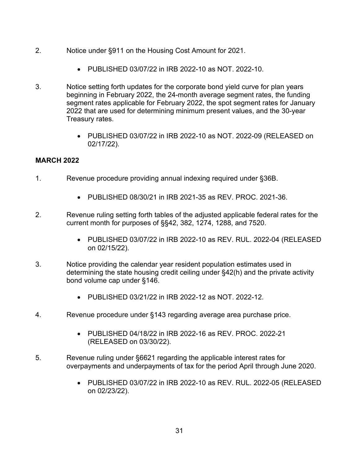- $\mathcal{P}$ 2. Notice under §911 on the Housing Cost Amount for 2021.
	- PUBLISHED 03/07/22 in IRB 2022-10 as NOT. 2022-10.
- $3<sub>l</sub>$  segment rates applicable for February 2022, the spot segment rates for January Notice setting forth updates for the corporate bond yield curve for plan years beginning in February 2022, the 24-month average segment rates, the funding 2022 that are used for determining minimum present values, and the 30-year Treasury rates.
	- PUBLISHED 03/07/22 in IRB 2022-10 as NOT. 2022-09 (RELEASED on 02/17/22).

# **MARCH 2022**

- $1<sup>1</sup>$ Revenue procedure providing annual indexing required under §36B.
	- PUBLISHED 08/30/21 in IRB 2021-35 as REV. PROC. 2021-36.
- $2.$ Revenue ruling setting forth tables of the adjusted applicable federal rates for the current month for purposes of §§42, 382, 1274, 1288, and 7520.
	- PUBLISHED 03/07/22 in IRB 2022-10 as REV. RUL. 2022-04 (RELEASED on 02/15/22).
- $3<sub>1</sub>$ Notice providing the calendar year resident population estimates used in determining the state housing credit ceiling under §42(h) and the private activity bond volume cap under §146.
	- PUBLISHED 03/21/22 in IRB 2022-12 as NOT. 2022-12.
- $4.$ Revenue procedure under §143 regarding average area purchase price.
	- PUBLISHED 04/18/22 in IRB 2022-16 as REV. PROC. 2022-21 (RELEASED on 03/30/22).
- 5. Revenue ruling under §6621 regarding the applicable interest rates for overpayments and underpayments of tax for the period April through June 2020.
	- PUBLISHED 03/07/22 in IRB 2022-10 as REV. RUL. 2022-05 (RELEASED on 02/23/22).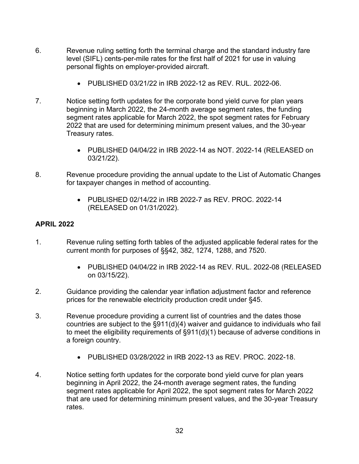- $6.$ Revenue ruling setting forth the terminal charge and the standard industry fare level (SIFL) cents-per-mile rates for the first half of 2021 for use in valuing personal flights on employer-provided aircraft.
	- PUBLISHED 03/21/22 in IRB 2022-12 as REV. RUL. 2022-06.
- $7<sub>1</sub>$ Notice setting forth updates for the corporate bond yield curve for plan years beginning in March 2022, the 24-month average segment rates, the funding segment rates applicable for March 2022, the spot segment rates for February 2022 that are used for determining minimum present values, and the 30-year Treasury rates.
	- PUBLISHED 04/04/22 in IRB 2022-14 as NOT. 2022-14 (RELEASED on 03/21/22).
- 8. Revenue procedure providing the annual update to the List of Automatic Changes for taxpayer changes in method of accounting.
	- PUBLISHED 02/14/22 in IRB 2022-7 as REV. PROC. 2022-14 (RELEASED on 01/31/2022).

#### **APRIL 2022**

- $1<sub>1</sub>$ Revenue ruling setting forth tables of the adiusted applicable federal rates for the current month for purposes of §§42, 382, 1274, 1288, and 7520.
	- PUBLISHED 04/04/22 in IRB 2022-14 as REV. RUL. 2022-08 (RELEASED on 03/15/22).
- $2.$ 2. Guidance providing the calendar year inflation adjustment factor and reference prices for the renewable electricity production credit under §45.
- 3. countries are subject to the §911(d)(4) waiver and guidance to individuals who fail Revenue procedure providing a current list of countries and the dates those to meet the eligibility requirements of §911(d)(1) because of adverse conditions in a foreign country.
	- PUBLISHED 03/28/2022 in IRB 2022-13 as REV. PROC. 2022-18.
- $\overline{4}$  beginning in April 2022, the 24-month average segment rates, the funding segment rates applicable for April 2022, the spot segment rates for March 2022 Notice setting forth updates for the corporate bond yield curve for plan years that are used for determining minimum present values, and the 30-year Treasury rates.